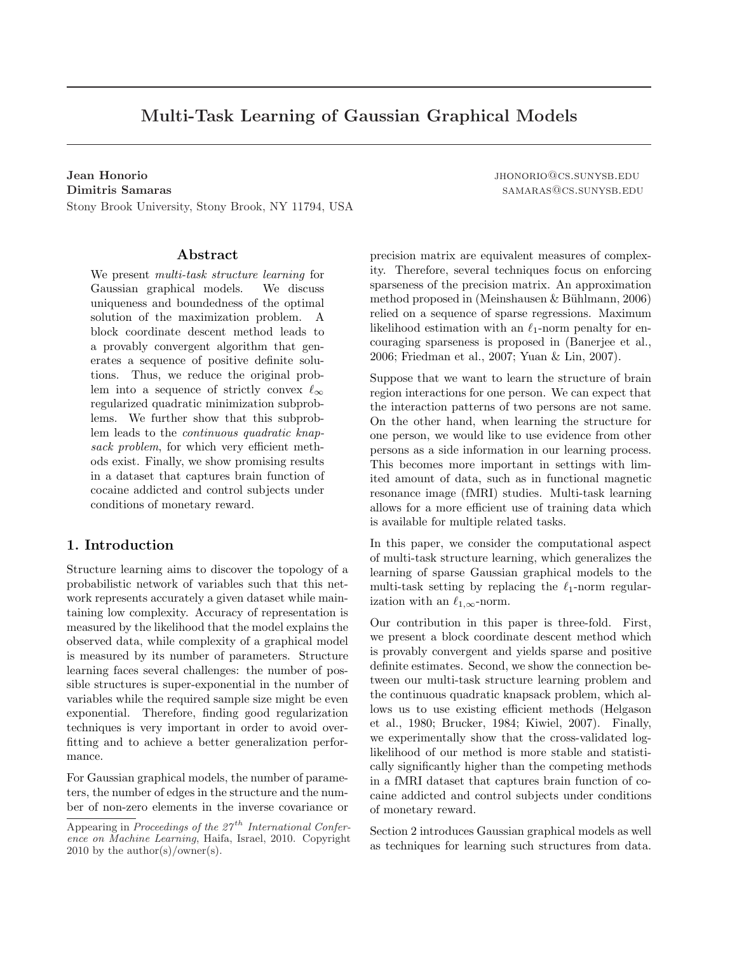# Multi-Task Learning of Gaussian Graphical Models

Stony Brook University, Stony Brook, NY 11794, USA

# Abstract

We present multi-task structure learning for Gaussian graphical models. We discuss uniqueness and boundedness of the optimal solution of the maximization problem. A block coordinate descent method leads to a provably convergent algorithm that generates a sequence of positive definite solutions. Thus, we reduce the original problem into a sequence of strictly convex  $\ell_{\infty}$ regularized quadratic minimization subproblems. We further show that this subproblem leads to the continuous quadratic knapsack problem, for which very efficient methods exist. Finally, we show promising results in a dataset that captures brain function of cocaine addicted and control subjects under conditions of monetary reward.

# 1. Introduction

Structure learning aims to discover the topology of a probabilistic network of variables such that this network represents accurately a given dataset while maintaining low complexity. Accuracy of representation is measured by the likelihood that the model explains the observed data, while complexity of a graphical model is measured by its number of parameters. Structure learning faces several challenges: the number of possible structures is super-exponential in the number of variables while the required sample size might be even exponential. Therefore, finding good regularization techniques is very important in order to avoid overfitting and to achieve a better generalization performance.

For Gaussian graphical models, the number of parameters, the number of edges in the structure and the number of non-zero elements in the inverse covariance or

**Jean Honorio** jhonorio jhonorio je bila je bila je bila je bila je bila je bila je bila je bila je bila je bila je bila je bila je bila je bila je bila je bila je bila je bila je bila je bila je bila je bila je bila je bi Dimitris Samaras samaras samaras samaras samaras samaras samaras samaras samaras samaras samaras samaras samar

> precision matrix are equivalent measures of complexity. Therefore, several techniques focus on enforcing sparseness of the precision matrix. An approximation method proposed in (Meinshausen  $&$  Bühlmann, 2006) relied on a sequence of sparse regressions. Maximum likelihood estimation with an  $\ell_1$ -norm penalty for encouraging sparseness is proposed in (Banerjee et al., 2006; Friedman et al., 2007; Yuan & Lin, 2007).

> Suppose that we want to learn the structure of brain region interactions for one person. We can expect that the interaction patterns of two persons are not same. On the other hand, when learning the structure for one person, we would like to use evidence from other persons as a side information in our learning process. This becomes more important in settings with limited amount of data, such as in functional magnetic resonance image (fMRI) studies. Multi-task learning allows for a more efficient use of training data which is available for multiple related tasks.

> In this paper, we consider the computational aspect of multi-task structure learning, which generalizes the learning of sparse Gaussian graphical models to the multi-task setting by replacing the  $\ell_1$ -norm regularization with an  $\ell_{1,\infty}$ -norm.

> Our contribution in this paper is three-fold. First, we present a block coordinate descent method which is provably convergent and yields sparse and positive definite estimates. Second, we show the connection between our multi-task structure learning problem and the continuous quadratic knapsack problem, which allows us to use existing efficient methods (Helgason et al., 1980; Brucker, 1984; Kiwiel, 2007). Finally, we experimentally show that the cross-validated loglikelihood of our method is more stable and statistically significantly higher than the competing methods in a fMRI dataset that captures brain function of cocaine addicted and control subjects under conditions of monetary reward.

> Section 2 introduces Gaussian graphical models as well as techniques for learning such structures from data.

Appearing in Proceedings of the  $27<sup>th</sup>$  International Conference on Machine Learning, Haifa, Israel, 2010. Copyright 2010 by the author(s)/owner(s).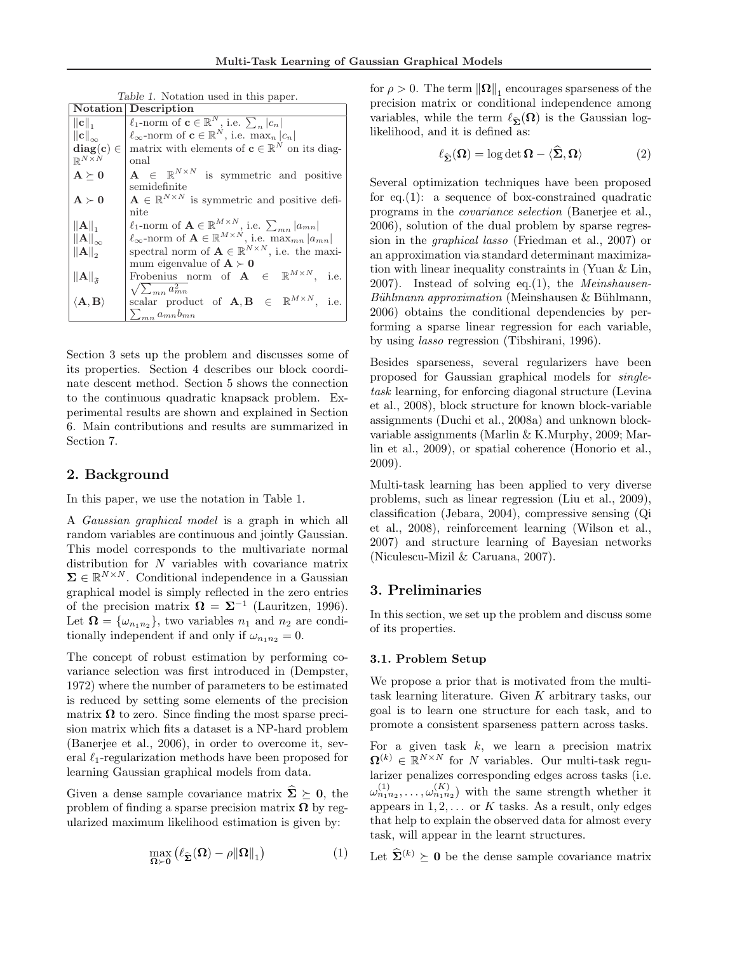Table 1. Notation used in this paper.

|                                                    | <b>Notation</b> Description                                                                                                                                       |
|----------------------------------------------------|-------------------------------------------------------------------------------------------------------------------------------------------------------------------|
| $\ \mathbf{c}\ _1$                                 | $\ell_1$ -norm of $\mathbf{c} \in \mathbb{R}^N$ , i.e. $\sum_n  c_n $                                                                                             |
| $\left\Vert \mathbf{c}\right\Vert _{\infty}$       | $\ell_{\infty}$ -norm of $\mathbf{c} \in \mathbb{R}^{N}$ , i.e. max <sub>n</sub> $ c_n $                                                                          |
| $diag(c) \in$                                      | matrix with elements of $\mathbf{c} \in \mathbb{R}^N$ on its diag-                                                                                                |
| $\mathbb{R}^{N\times N}$                           | onal                                                                                                                                                              |
| $\mathbf{A} \succ \mathbf{0}$                      | $\mathbf{A} \in \mathbb{R}^{N \times N}$ is symmetric and positive                                                                                                |
|                                                    | semidefinite                                                                                                                                                      |
| $A \succ 0$                                        | $\mathbf{A} \in \mathbb{R}^{N \times N}$ is symmetric and positive defi-                                                                                          |
|                                                    | nite                                                                                                                                                              |
| $\ \mathbf{A}\ _1$                                 | $\ell_1$ -norm of $\mathbf{A} \in \mathbb{R}^{M \times N}$ , i.e. $\sum_{mn}  a_{mn} $                                                                            |
| $\ \mathbf{A}\ _{\infty}$                          | $\ell_{\infty}$ -norm of $\mathbf{A} \in \mathbb{R}^{M \times N}$ , i.e. $\max_{mn}  a_{mn} $                                                                     |
| $\ \mathbf{A}\ _{2}$                               | spectral norm of $\mathbf{A} \in \mathbb{R}^{N \times N}$ , i.e. the maxi-                                                                                        |
|                                                    | mum eigenvalue of $A \succ 0$                                                                                                                                     |
| $\left\Vert \mathbf{A}\right\Vert _{\mathfrak{F}}$ | Frobenius norm of $A \in \mathbb{R}^{M \times N}$ , i.e.                                                                                                          |
|                                                    | $\sqrt{\sum_{mn} a_{mn}^2}$                                                                                                                                       |
| $\langle \mathbf{A}, \mathbf{B} \rangle$           | $\begin{array}{rclclclcl} \mathrm{scalar} & \mathrm{product} & \mathrm{of} & \mathbf{A}, \mathbf{B} & \in & \mathbb{R}^{M \times N}, & \mathrm{i.e.} \end{array}$ |
|                                                    | $\sum_{mn} a_{mn} b_{mn}$                                                                                                                                         |

Section 3 sets up the problem and discusses some of its properties. Section 4 describes our block coordinate descent method. Section 5 shows the connection to the continuous quadratic knapsack problem. Experimental results are shown and explained in Section 6. Main contributions and results are summarized in Section 7.

# 2. Background

In this paper, we use the notation in Table 1.

A Gaussian graphical model is a graph in which all random variables are continuous and jointly Gaussian. This model corresponds to the multivariate normal distribution for N variables with covariance matrix  $\Sigma \in \mathbb{R}^{N \times N}$ . Conditional independence in a Gaussian graphical model is simply reflected in the zero entries of the precision matrix  $\Omega = \Sigma^{-1}$  (Lauritzen, 1996). Let  $\mathbf{\Omega} = {\omega_{n_1 n_2}}$ , two variables  $n_1$  and  $n_2$  are conditionally independent if and only if  $\omega_{n_1n_2} = 0$ .

The concept of robust estimation by performing covariance selection was first introduced in (Dempster, 1972) where the number of parameters to be estimated is reduced by setting some elements of the precision matrix  $\Omega$  to zero. Since finding the most sparse precision matrix which fits a dataset is a NP-hard problem (Banerjee et al., 2006), in order to overcome it, several  $\ell_1$ -regularization methods have been proposed for learning Gaussian graphical models from data.

Given a dense sample covariance matrix  $\hat{\Sigma} \succeq 0$ , the problem of finding a sparse precision matrix  $\Omega$  by regularized maximum likelihood estimation is given by:

$$
\max_{\Omega \succ 0} (\ell_{\widehat{\Sigma}}(\Omega) - \rho \|\Omega\|_1)
$$
 (1)

for  $\rho > 0$ . The term  $\|\mathbf{\Omega}\|_1$  encourages sparseness of the precision matrix or conditional independence among variables, while the term  $\ell_{\widehat{\Sigma}}(\Omega)$  is the Gaussian loglikelihood, and it is defined as:

$$
\ell_{\widehat{\Sigma}}(\Omega) = \log \det \Omega - \langle \widehat{\Sigma}, \Omega \rangle \tag{2}
$$

Several optimization techniques have been proposed for eq. $(1)$ : a sequence of box-constrained quadratic programs in the covariance selection (Banerjee et al., 2006), solution of the dual problem by sparse regression in the graphical lasso (Friedman et al., 2007) or an approximation via standard determinant maximization with linear inequality constraints in (Yuan & Lin, 2007). Instead of solving eq.(1), the *Meinshausen*- $B\ddot{u}hlmann approximation$  (Meinshausen & Bühlmann, 2006) obtains the conditional dependencies by performing a sparse linear regression for each variable, by using lasso regression (Tibshirani, 1996).

Besides sparseness, several regularizers have been proposed for Gaussian graphical models for singletask learning, for enforcing diagonal structure (Levina et al., 2008), block structure for known block-variable assignments (Duchi et al., 2008a) and unknown blockvariable assignments (Marlin & K.Murphy, 2009; Marlin et al., 2009), or spatial coherence (Honorio et al., 2009).

Multi-task learning has been applied to very diverse problems, such as linear regression (Liu et al., 2009), classification (Jebara, 2004), compressive sensing (Qi et al., 2008), reinforcement learning (Wilson et al., 2007) and structure learning of Bayesian networks (Niculescu-Mizil & Caruana, 2007).

# 3. Preliminaries

In this section, we set up the problem and discuss some of its properties.

#### 3.1. Problem Setup

We propose a prior that is motivated from the multitask learning literature. Given K arbitrary tasks, our goal is to learn one structure for each task, and to promote a consistent sparseness pattern across tasks.

For a given task  $k$ , we learn a precision matrix  $\mathbf{\Omega}^{(k)} \in \mathbb{R}^{N \times N}$  for N variables. Our multi-task regularizer penalizes corresponding edges across tasks (i.e.  $\omega_{n_1n_2}^{(1)}, \ldots, \omega_{n_1n_2}^{(K)}$  with the same strength whether it appears in  $1, 2, \ldots$  or K tasks. As a result, only edges that help to explain the observed data for almost every task, will appear in the learnt structures.

Let  $\hat{\Sigma}^{(k)} \succ 0$  be the dense sample covariance matrix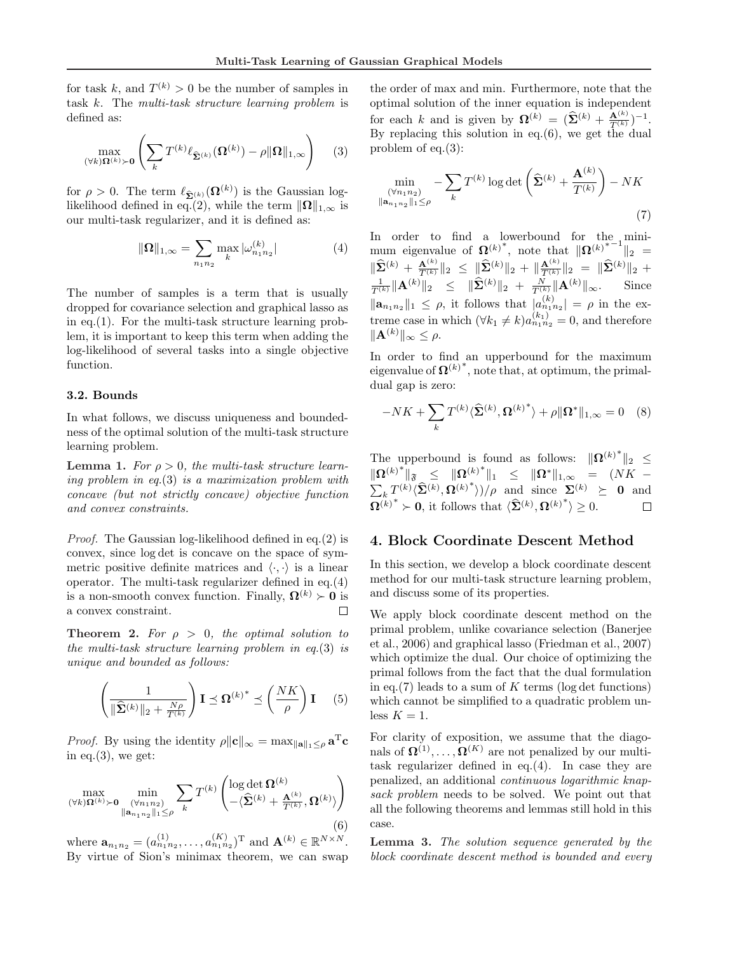for task k, and  $T^{(k)} > 0$  be the number of samples in task k. The multi-task structure learning problem is defined as:

$$
\max_{(\forall k)\Omega^{(k)}\succ\mathbf{0}}\left(\sum_{k}T^{(k)}\ell_{\widehat{\Sigma}^{(k)}}(\Omega^{(k)})-\rho\|\Omega\|_{1,\infty}\right) \qquad(3)
$$

for  $\rho > 0$ . The term  $\ell_{\widehat{\Sigma}^{(k)}}(\Omega^{(k)})$  is the Gaussian loglikelihood defined in eq.(2), while the term  $\|\mathbf{\Omega}\|_{1,\infty}$  is our multi-task regularizer, and it is defined as:

$$
\|\Omega\|_{1,\infty} = \sum_{n_1 n_2} \max_k |\omega_{n_1 n_2}^{(k)}| \tag{4}
$$

The number of samples is a term that is usually dropped for covariance selection and graphical lasso as in eq.(1). For the multi-task structure learning problem, it is important to keep this term when adding the log-likelihood of several tasks into a single objective function.

#### 3.2. Bounds

In what follows, we discuss uniqueness and boundedness of the optimal solution of the multi-task structure learning problem.

**Lemma 1.** For  $\rho > 0$ , the multi-task structure learning problem in eq.(3) is a maximization problem with concave (but not strictly concave) objective function and convex constraints.

Proof. The Gaussian log-likelihood defined in eq.(2) is convex, since log det is concave on the space of symmetric positive definite matrices and  $\langle \cdot, \cdot \rangle$  is a linear operator. The multi-task regularizer defined in eq.(4) is a non-smooth convex function. Finally,  $\Omega^{(k)} \succ 0$  is a convex constraint.  $\Box$ 

**Theorem 2.** For  $\rho > 0$ , the optimal solution to the multi-task structure learning problem in eq.(3) is unique and bounded as follows:

$$
\left(\frac{1}{\|\widehat{\boldsymbol{\Sigma}}^{(k)}\|_{2} + \frac{N\rho}{T^{(k)}}}\right) \mathbf{I} \preceq \boldsymbol{\Omega}^{(k)^{*}} \preceq \left(\frac{NK}{\rho}\right) \mathbf{I} \tag{5}
$$

*Proof.* By using the identity  $\rho \|\mathbf{c}\|_{\infty} = \max_{\|\mathbf{a}\|_1 \leq \rho} \mathbf{a}^{\mathrm{T}} \mathbf{c}$ in eq. $(3)$ , we get:

$$
\max_{(\forall k)\Omega^{(k)}\succ\mathbf{0}}\min_{\substack{(\forall n_1n_2)\\ \|\mathbf{a}_{n_1n_2}\|_1\leq\rho}}\sum_{k}T^{(k)}\left(\frac{\log\det\Omega^{(k)}}{-\langle\widehat{\Sigma}^{(k)}+\frac{\mathbf{A}^{(k)}}{T^{(k)}},\Omega^{(k)}\rangle}\right)
$$
\n(6)

where  $\mathbf{a}_{n_1 n_2} = (a_{n_1 n_2}^{(1)}, \dots, a_{n_1 n_2}^{(K)})^{\mathrm{T}}$  and  $\mathbf{A}^{(k)} \in \mathbb{R}^{N \times N}$ . By virtue of Sion's minimax theorem, we can swap

the order of max and min. Furthermore, note that the optimal solution of the inner equation is independent for each k and is given by  $\mathbf{\Omega}^{(k)} = (\widehat{\mathbf{\Sigma}}^{(k)} + \frac{\mathbf{A}^{(k)}}{T^{(k)}})^{-1}$ . By replacing this solution in eq.(6), we get the dual problem of eq.(3):

$$
\min_{\substack{(\forall n_1 n_2) \\ \|\mathbf{a}_{n_1 n_2}\|_1 \le \rho}} -\sum_{k} T^{(k)} \log \det \left( \widehat{\mathbf{\Sigma}}^{(k)} + \frac{\mathbf{A}^{(k)}}{T^{(k)}} \right) - NK
$$
\n(7)

In order to find a lowerbound for the  $\min_{x \to a}$ mum eigenvalue of  $\Omega^{(k)*}$ , note that  $\|\Omega^{(k)*-1}\|_2 =$  $\|\widehat{\bf \Sigma}^{(k)} + \frac{{\bf A}^{(k)}}{T^{(k)}}\|_2 \ \leq \ \|\widehat{\bf \Sigma}^{(k)}\|_2 \ + \|\frac{{\bf A}^{(k)}}{T^{(k)}}\|_2 \ = \ \|\widehat{\bf \Sigma}^{(k)}\|_2 \ +$  $\frac{1}{T^{(k)}} \|\mathbf{A}^{(k)}\|_2 \leq \|\widehat{\mathbf{\Sigma}}^{(k)}\|_2 + \frac{N}{T^{(k)}} \|\mathbf{A}^{(k)}\|_{\infty}.$  Since  $\|\mathbf{a}_{n_1 n_2}\|_1 \leq \rho$ , it follows that  $|a_{n_1 n_2}^{(k)}| = \rho$  in the extreme case in which  $(\forall k_1 \neq k) a_{n_1 n_2}^{(k_1)} = 0$ , and therefore  $\|\mathbf{A}^{(k)}\|_{\infty} \leq \rho.$ 

In order to find an upperbound for the maximum eigenvalue of  $\Omega^{(k)^*}$ , note that, at optimum, the primaldual gap is zero:

$$
-NK + \sum_{k} T^{(k)} \langle \widehat{\Sigma}^{(k)}, {\Omega^{(k)}}^* \rangle + \rho \|\Omega^*\|_{1,\infty} = 0 \quad (8)
$$

The upperbound is found as follows:  $\|\mathbf{\Omega}^{(k)}\|^2$  ≤  $\|\Omega^{(k)*}\|_{\mathfrak{F}} \leq \|\Omega^{(k)*}\|_{1} \leq \|\Omega^{*}\|_{1,\infty} = (NK \frac{1}{k} T^{(k)} \langle \hat{\Sigma}^{(k)}, \Omega^{(k)}}^* \rangle )/\rho$  and since  $\Sigma^{(k)} \succeq 0$  and  $\overline{\Omega}^{(k)^*} \succ 0$ , it follows that  $\langle \widehat{\Sigma}^{(k)}, {\Omega^{(k)}}^* \rangle \geq 0$ .  $\Box$ 

### 4. Block Coordinate Descent Method

In this section, we develop a block coordinate descent method for our multi-task structure learning problem, and discuss some of its properties.

We apply block coordinate descent method on the primal problem, unlike covariance selection (Banerjee et al., 2006) and graphical lasso (Friedman et al., 2007) which optimize the dual. Our choice of optimizing the primal follows from the fact that the dual formulation in eq.(7) leads to a sum of K terms (log det functions) which cannot be simplified to a quadratic problem unless  $K = 1$ .

For clarity of exposition, we assume that the diagonals of  $\mathbf{\Omega}^{(1)}, \ldots, \mathbf{\Omega}^{(K)}$  are not penalized by our multitask regularizer defined in eq.(4). In case they are penalized, an additional continuous logarithmic knapsack problem needs to be solved. We point out that all the following theorems and lemmas still hold in this case.

Lemma 3. The solution sequence generated by the block coordinate descent method is bounded and every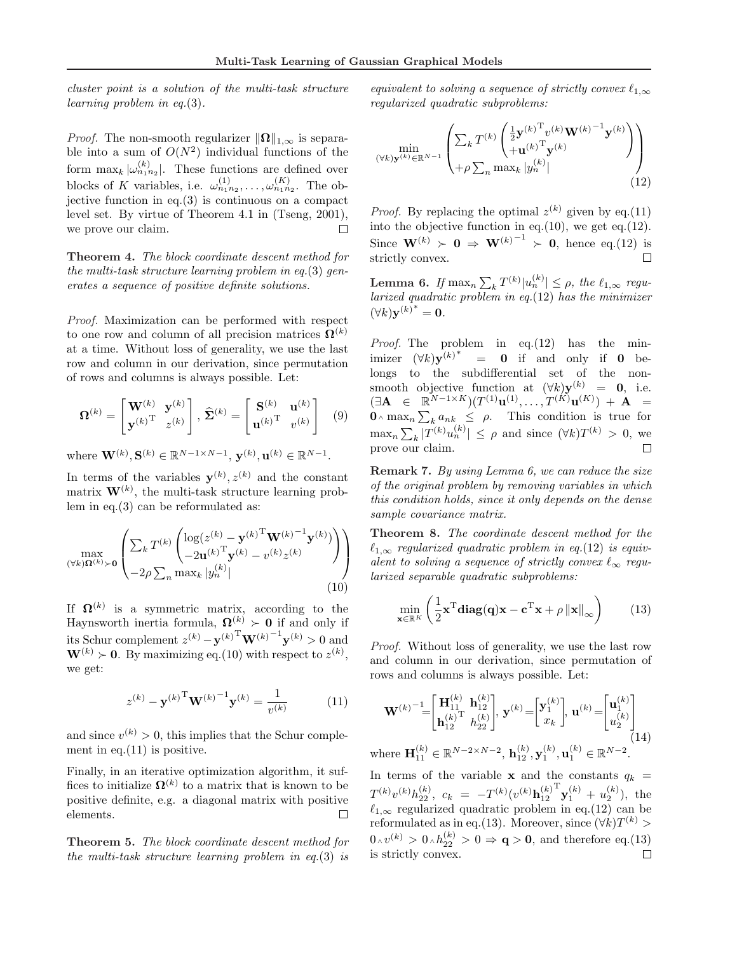cluster point is a solution of the multi-task structure learning problem in eq.(3).

*Proof.* The non-smooth regularizer  $\|\Omega\|_{1,\infty}$  is separable into a sum of  $O(N^2)$  individual functions of the form  $\max_k |\omega_{n_1 n_2}^{(k)}|$ . These functions are defined over blocks of K variables, i.e.  $\omega_{n_1 n_2}^{(1)}, \ldots, \omega_{n_1 n_2}^{(K)}$ . The objective function in eq. $(3)$  is continuous on a compact level set. By virtue of Theorem 4.1 in (Tseng, 2001),  $\Box$ we prove our claim.

Theorem 4. The block coordinate descent method for the multi-task structure learning problem in eq.(3) generates a sequence of positive definite solutions.

Proof. Maximization can be performed with respect to one row and column of all precision matrices  $\mathbf{\Omega}^{(k)}$ at a time. Without loss of generality, we use the last row and column in our derivation, since permutation of rows and columns is always possible. Let:

$$
\mathbf{\Omega}^{(k)} = \begin{bmatrix} \mathbf{W}^{(k)} & \mathbf{y}^{(k)} \\ \mathbf{y}^{(k)} & z^{(k)} \end{bmatrix}, \ \hat{\mathbf{\Sigma}}^{(k)} = \begin{bmatrix} \mathbf{S}^{(k)} & \mathbf{u}^{(k)} \\ \mathbf{u}^{(k)} & v^{(k)} \end{bmatrix} \tag{9}
$$

where  $\mathbf{W}^{(k)}, \mathbf{S}^{(k)} \in \mathbb{R}^{N-1 \times N-1}, \mathbf{y}^{(k)}, \mathbf{u}^{(k)} \in \mathbb{R}^{N-1}.$ 

In terms of the variables  $\mathbf{y}^{(k)}$ ,  $z^{(k)}$  and the constant matrix  $\mathbf{W}^{(k)}$ , the multi-task structure learning problem in eq.(3) can be reformulated as:

$$
\max_{(\forall k)\Omega^{(k)}\succ\mathbf{0}}\left(\frac{\sum_{k}T^{(k)}\left(\log(z^{(k)}-\mathbf{y}^{(k)}^{\mathrm{T}}\mathbf{W}^{(k)}^{-1}\mathbf{y}^{(k)})\right)}{-2\rho\sum_{n}\max_{k}|y_{n}^{(k)}|}\right)
$$
\n(10)

If  $\Omega^{(k)}$  is a symmetric matrix, according to the Haynsworth inertia formula,  $\Omega^{(k)} \succ 0$  if and only if its Schur complement  $z^{(k)} - \mathbf{y}^{(k)}^{\mathrm{T}} \mathbf{W}^{(k)}^{-1} \mathbf{y}^{(k)} > 0$  and  $\mathbf{W}^{(k)} \succ \mathbf{0}$ . By maximizing eq.(10) with respect to  $z^{(k)}$ , we get:

$$
z^{(k)} - \mathbf{y}^{(k)}^{\mathrm{T}} \mathbf{W}^{(k)}{}^{-1} \mathbf{y}^{(k)} = \frac{1}{v^{(k)}} \tag{11}
$$

and since  $v^{(k)} > 0$ , this implies that the Schur complement in eq.  $(11)$  is positive.

Finally, in an iterative optimization algorithm, it suffices to initialize  $\Omega^{(k)}$  to a matrix that is known to be positive definite, e.g. a diagonal matrix with positive elements.  $\Box$ 

Theorem 5. The block coordinate descent method for the multi-task structure learning problem in eq.(3) is

equivalent to solving a sequence of strictly convex  $\ell_{1,\infty}$ regularized quadratic subproblems:

$$
\min_{(\forall k)\mathbf{y}^{(k)} \in \mathbb{R}^{N-1}} \left( \sum_{k} T^{(k)} \begin{pmatrix} \frac{1}{2} \mathbf{y}^{(k)}^{\mathrm{T}} v^{(k)} \mathbf{W}^{(k)}^{-1} \mathbf{y}^{(k)} \\ + \mathbf{u}^{(k)}^{\mathrm{T}} \mathbf{y}^{(k)} \end{pmatrix} + \rho \sum_{n} \max_{k} |y_{n}^{(k)}| \right) \tag{12}
$$

*Proof.* By replacing the optimal  $z^{(k)}$  given by eq.(11) into the objective function in eq.(10), we get eq.(12). Since  $\mathbf{W}^{(k)} \succ \mathbf{0} \Rightarrow \mathbf{W}^{(k)}$ <sup>-1</sup>  $\succ$  0, hence eq.(12) is strictly convex.  $\Box$ 

Lemma 6. If  $\max_n \sum$  $\|x_k^{(k)}\| \leq \rho$ , the  $\ell_{1,\infty}$  regularized quadratic problem in eq.(12) has the minimizer  $(\forall k) {\bf y}^{(k)}^* = {\bf 0}.$ 

*Proof.* The problem in  $eq.(12)$  has the minimizer  $(\forall k) \mathbf{y}^{(k)^*} = \mathbf{0}$  if and only if  $\mathbf{0}$  belongs to the subdifferential set of the nonsmooth objective function at  $(\forall k)$ **y**<sup>(k)</sup> = **0**, i.e.  $(\exists \mathbf{A} \in \mathbb{R}^{N-1 \times K})(T^{(1)}\mathbf{u}^{(1)}, \dots, T^{(K)}\mathbf{u}^{(K)}) + \mathbf{A} =$  $\begin{array}{ll} (\exists \mathbf{A} & \in & \mathbb{R} \\ \mathbf{0} \wedge \max_n \sum \end{array}$  $_{k} a_{nk} \leq \rho$ . This condition is true for  $\max_n \sum$  $|T^{(k)}u_n^{(k)}| \leq \rho$  and since  $(\forall k)T^{(k)} > 0$ , we prove our claim.

Remark 7. By using Lemma 6, we can reduce the size of the original problem by removing variables in which this condition holds, since it only depends on the dense sample covariance matrix.

Theorem 8. The coordinate descent method for the  $\ell_{1,\infty}$  regularized quadratic problem in eq.(12) is equivalent to solving a sequence of strictly convex  $\ell_{\infty}$  regularized separable quadratic subproblems:

$$
\min_{\mathbf{x} \in \mathbb{R}^K} \left( \frac{1}{2} \mathbf{x}^{\mathrm{T}} \mathbf{diag}(\mathbf{q}) \mathbf{x} - \mathbf{c}^{\mathrm{T}} \mathbf{x} + \rho \left\| \mathbf{x} \right\|_{\infty} \right) \tag{13}
$$

Proof. Without loss of generality, we use the last row and column in our derivation, since permutation of rows and columns is always possible. Let:

$$
\mathbf{W}^{(k)} = \begin{bmatrix} \mathbf{H}_{11}^{(k)} & \mathbf{h}_{12}^{(k)} \\ \mathbf{h}_{12}^{(k)T} & h_{22}^{(k)} \end{bmatrix}, \mathbf{y}^{(k)} = \begin{bmatrix} \mathbf{y}_1^{(k)} \\ x_k \end{bmatrix}, \mathbf{u}^{(k)} = \begin{bmatrix} \mathbf{u}_1^{(k)} \\ u_2^{(k)} \end{bmatrix}
$$
  
where  $\mathbf{H}_{11}^{(k)} \in \mathbb{R}^{N-2 \times N-2}$ ,  $\mathbf{h}_{12}^{(k)}, \mathbf{y}_1^{(k)}, \mathbf{u}_1^{(k)} \in \mathbb{R}^{N-2}$ . (14)

In terms of the variable **x** and the constants  $q_k$  =  $T^{(k)}v^{(k)}h_{22}^{(k)},\,\,c_k\,\,=\,\,-T^{(k)}(v^{(k)}{\bf h}_{12}^{(k)}$  $\mathbf{y}_1^{(k)} + u_2^{(k)}$ , the  $\ell_{1,\infty}$  regularized quadratic problem in eq.(12) can be reformulated as in eq.(13). Moreover, since  $(\forall k)T^{(k)}$  $0 \wedge v^{(k)} > 0 \wedge h_{22}^{(k)} > 0 \Rightarrow \mathbf{q} > \mathbf{0}$ , and therefore eq.(13) is strictly convex.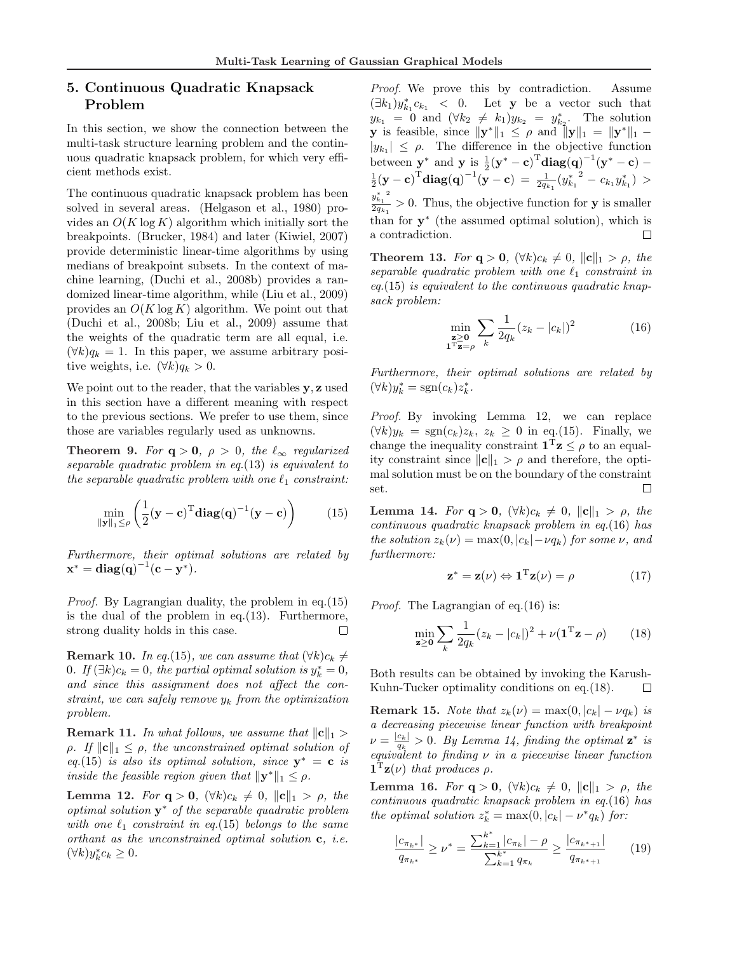# 5. Continuous Quadratic Knapsack Problem

In this section, we show the connection between the multi-task structure learning problem and the continuous quadratic knapsack problem, for which very efficient methods exist.

The continuous quadratic knapsack problem has been solved in several areas. (Helgason et al., 1980) provides an  $O(K \log K)$  algorithm which initially sort the breakpoints. (Brucker, 1984) and later (Kiwiel, 2007) provide deterministic linear-time algorithms by using medians of breakpoint subsets. In the context of machine learning, (Duchi et al., 2008b) provides a randomized linear-time algorithm, while (Liu et al., 2009) provides an  $O(K \log K)$  algorithm. We point out that (Duchi et al., 2008b; Liu et al., 2009) assume that the weights of the quadratic term are all equal, i.e.  $(\forall k)q_k = 1$ . In this paper, we assume arbitrary positive weights, i.e.  $(\forall k) q_k > 0$ .

We point out to the reader, that the variables y, z used in this section have a different meaning with respect to the previous sections. We prefer to use them, since those are variables regularly used as unknowns.

**Theorem 9.** For  $q > 0$ ,  $\rho > 0$ , the  $\ell_{\infty}$  regularized separable quadratic problem in eq.(13) is equivalent to the separable quadratic problem with one  $\ell_1$  constraint:

$$
\min_{\|\mathbf{y}\|_1 \le \rho} \left( \frac{1}{2} (\mathbf{y} - \mathbf{c})^{\mathrm{T}} \mathbf{diag}(\mathbf{q})^{-1} (\mathbf{y} - \mathbf{c}) \right) \tag{15}
$$

Furthermore, their optimal solutions are related by  $x^* = diag(q)^{-1}(c - y^*).$ 

Proof. By Lagrangian duality, the problem in eq.(15) is the dual of the problem in eq.(13). Furthermore, strong duality holds in this case.  $\Box$ 

Remark 10. In eq.(15), we can assume that  $(\forall k)c_k \neq$ 0. If  $(\exists k)c_k = 0$ , the partial optimal solution is  $y_k^* = 0$ , and since this assignment does not affect the constraint, we can safely remove  $y_k$  from the optimization problem.

**Remark 11.** In what follows, we assume that  $||c||_1 >$  $\rho$ . If  $\|\mathbf{c}\|_1 \leq \rho$ , the unconstrained optimal solution of eq.(15) is also its optimal solution, since  $y^* = c$  is inside the feasible region given that  $\|\mathbf{y}^*\|_1 \leq \rho$ .

Lemma 12. For  $\mathbf{q} > \mathbf{0}$ ,  $(\forall k)c_k \neq 0$ ,  $\|\mathbf{c}\|_1 > \rho$ , the  $optimal$  solution  $y^*$  of the separable quadratic problem with one  $\ell_1$  constraint in eq.(15) belongs to the same orthant as the unconstrained optimal solution c, i.e.  $(\forall k)y_k^*c_k \geq 0.$ 

Proof. We prove this by contradiction. Assume  $(\exists k_1)y^*_{k_1}c_{k_1}$  < 0. Let **y** be a vector such that  $y_{k_1} = 0$  and  $(\forall k_2 \neq k_1)y_{k_2} = y_{k_2}^*$ . The solution **y** is feasible, since  $\|\mathbf{y}^*\|_1 \leq \rho$  and  $\|\mathbf{y}\|_1 = \|\mathbf{y}^*\|_1$  –  $|y_{k_1}| \leq \rho$ . The difference in the objective function between  $\mathbf{y}^*$  and  $\mathbf{y}$  is  $\frac{1}{2}(\mathbf{y}^* - \mathbf{c})^T \mathbf{diag(q)}^{-1}(\mathbf{y}^* - \mathbf{c})$  –  $\frac{1}{2}(\mathbf{y}-\mathbf{c})^{\text{T}}\textbf{diag}(\mathbf{q})^{-1}(\mathbf{y}-\mathbf{c}) \ = \ \frac{1}{2q_{k_1}}({y_{k_1}^*}^2 - c_{k_1}y_{k_1}^*) \ >$  $y_{k_1}^*$ <sup>2</sup>  $\frac{g_{k_1}}{2q_{k_1}} > 0$ . Thus, the objective function for **y** is smaller than for  $y^*$  (the assumed optimal solution), which is a contradiction.  $\Box$ 

**Theorem 13.** For  $q > 0$ ,  $(\forall k)c_k \neq 0$ ,  $\|\mathbf{c}\|_1 > \rho$ , the separable quadratic problem with one  $\ell_1$  constraint in  $eq.(15)$  is equivalent to the continuous quadratic knapsack problem:

$$
\min_{\substack{\mathbf{z} \ge \mathbf{0} \\ \mathbf{1}^{\mathrm{T}} \mathbf{z} = \rho}} \sum_{k} \frac{1}{2q_k} (z_k - |c_k|)^2 \tag{16}
$$

Furthermore, their optimal solutions are related by  $(\forall k)y_k^* = \text{sgn}(c_k)z_k^*.$ 

Proof. By invoking Lemma 12, we can replace  $(\forall k)y_k = \text{sgn}(c_k)z_k, z_k \geq 0$  in eq.(15). Finally, we change the inequality constraint  $\mathbf{1}^T \mathbf{z} \leq \rho$  to an equality constraint since  $\|\mathbf{c}\|_1 > \rho$  and therefore, the optimal solution must be on the boundary of the constraint  $\Box$ set.

Lemma 14. For  $q > 0$ ,  $(\forall k) c_k \neq 0$ ,  $||c||_1 > \rho$ , the continuous quadratic knapsack problem in eq.(16) has the solution  $z_k(\nu) = \max(0, |c_k| - \nu q_k)$  for some  $\nu$ , and furthermore:

$$
\mathbf{z}^* = \mathbf{z}(\nu) \Leftrightarrow \mathbf{1}^{\mathrm{T}} \mathbf{z}(\nu) = \rho \tag{17}
$$

Proof. The Lagrangian of eq.(16) is:

$$
\min_{\mathbf{z} \ge \mathbf{0}} \sum_{k} \frac{1}{2q_k} (z_k - |c_k|)^2 + \nu (\mathbf{1}^{\mathrm{T}} \mathbf{z} - \rho) \qquad (18)
$$

Both results can be obtained by invoking the Karush-Kuhn-Tucker optimality conditions on eq.(18).  $\Box$ 

Remark 15. Note that  $z_k(\nu) = \max(0, |c_k| - \nu q_k)$  is a decreasing piecewise linear function with breakpoint  $\nu = \frac{|c_k|}{a_k} > 0$ . By Lemma 14, finding the optimal  $z^*$  is  $\nu = \frac{q_k}{q_k} > 0.$  By Bellinud 14, finally the optimal 2 is<br>equivalent to finding v in a piecewise linear function  $\mathbf{1}^{\mathrm{T}}\mathbf{z}(\nu)$  that produces  $\rho$ .

Lemma 16. For  $q > 0$ ,  $(\forall k)c_k \neq 0$ ,  $||c||_1 > \rho$ , the continuous quadratic knapsack problem in eq.(16) has the optimal solution  $z_k^* = \max(0, |c_k| - \nu^* q_k)$  for:

$$
\frac{|c_{\pi_{k^*}}|}{q_{\pi_{k^*}}} \ge \nu^* = \frac{\sum_{k=1}^{k^*} |c_{\pi_k}| - \rho}{\sum_{k=1}^{k^*} q_{\pi_k}} \ge \frac{|c_{\pi_{k^*+1}}|}{q_{\pi_{k^*+1}}} \tag{19}
$$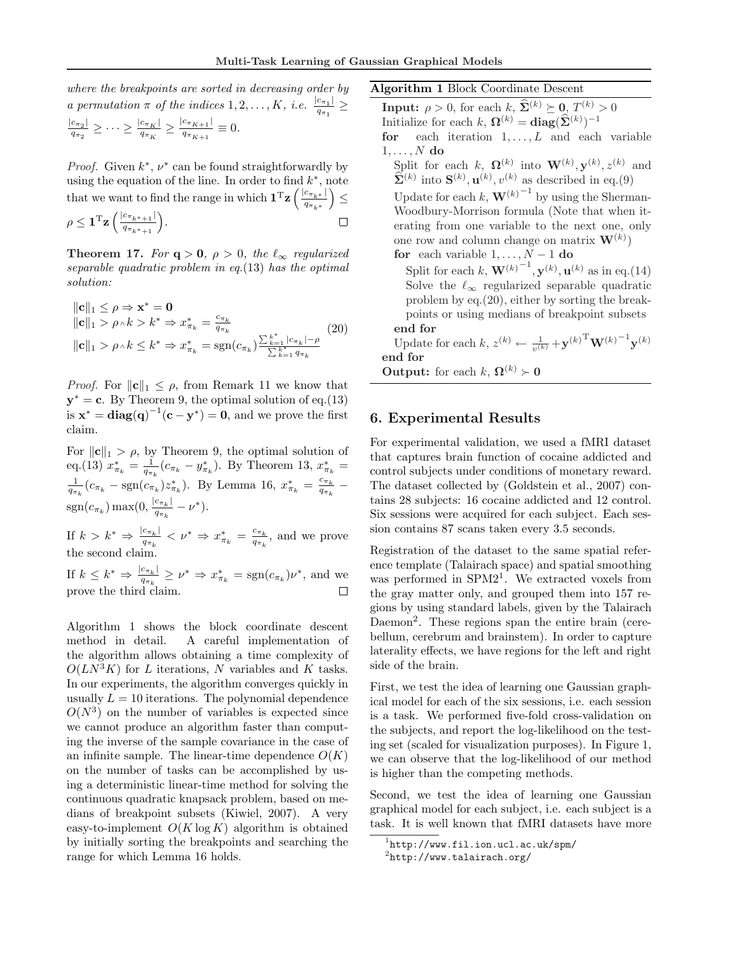where the breakpoints are sorted in decreasing order by a permutation  $\pi$  of the indices  $1, 2, \ldots, K$ , i.e.  $\frac{|c_{\pi_1}|}{q}$  $\frac{c_{\pi_1\perp}}{q_{\pi_1}} \ge$ 

$$
\frac{|c_{\pi_2}|}{q_{\pi_2}} \ge \cdots \ge \frac{|c_{\pi_K}|}{q_{\pi_K}} \ge \frac{|c_{\pi_{K+1}}|}{q_{\pi_{K+1}}} \equiv 0.
$$

*Proof.* Given  $k^*$ ,  $\nu^*$  can be found straightforwardly by using the equation of the line. In order to find  $k^*$ , note that we want to find the range in which  $\mathbf{1}^{\mathrm{T}}\mathbf{z}$   $\left(\frac{|c_{\pi_k*}|}{a}\right)$  $\frac{c_{\pi_{k^*}}}{q_{\pi_{k^*}}}\big)\leq$ 

$$
\rho \leq \mathbf{1}^{\mathrm{T}} \mathbf{z} \left( \frac{|c_{\pi_{k^*+1}}|}{q_{\pi_{k^*+1}}} \right). \qquad \qquad \square
$$

**Theorem 17.** For  $q > 0$ ,  $\rho > 0$ , the  $\ell_{\infty}$  regularized separable quadratic problem in eq.(13) has the optimal solution:

$$
\|\mathbf{c}\|_{1} \leq \rho \Rightarrow \mathbf{x}^{*} = \mathbf{0}
$$
  
\n
$$
\|\mathbf{c}\|_{1} > \rho \land k > k^{*} \Rightarrow x^{*}_{\pi_{k}} = \frac{c_{\pi_{k}}}{q_{\pi_{k}}}
$$
  
\n
$$
\|\mathbf{c}\|_{1} > \rho \land k \leq k^{*} \Rightarrow x^{*}_{\pi_{k}} = \text{sgn}(c_{\pi_{k}}) \frac{\sum_{k=1}^{k^{*}} |c_{\pi_{k}}| - \rho}{\sum_{k=1}^{k^{*}} q_{\pi_{k}}} \tag{20}
$$

*Proof.* For  $\|\mathbf{c}\|_1 \leq \rho$ , from Remark 11 we know that  $y^* = c$ . By Theorem 9, the optimal solution of eq.(13) is  $\mathbf{x}^* = \text{diag}(\mathbf{q})^{-1}(\mathbf{c} - \mathbf{y}^*) = \mathbf{0}$ , and we prove the first claim.

For  $\|\mathbf{c}\|_1 > \rho$ , by Theorem 9, the optimal solution of eq.(13)  $x_{\pi_k}^* = \frac{1}{q_{\pi_k}}(c_{\pi_k} - y_{\pi_k}^*)$ . By Theorem 13,  $x_{\pi_k}^* =$  $\frac{1}{q_{\pi_k}}(c_{\pi_k} - \text{sgn}(c_{\pi_k})z_{\pi_k}^*)$ . By Lemma 16,  $x_{\pi_k}^* = \frac{c_{\pi_k}}{q_{\pi_k}}$  $\frac{c_{\pi_k}}{q_{\pi_k}}$  –  $sgn(c_{\pi_k}) \max(0, \frac{|c_{\pi_k}|}{a_{\pi_k}})$  $\frac{c_{\pi_k}|}{q_{\pi_k}}-\nu^*).$ 

If  $k > k^* \Rightarrow \frac{|c_{\pi_k}|}{a}$  $\frac{c_{\pi_k}}{q_{\pi_k}} < \nu^* \Rightarrow x^*_{\pi_k} = \frac{c_{\pi_k}}{q_{\pi_k}}$  $\frac{c_{\pi_k}}{q_{\pi_k}}$ , and we prove the second clair

If  $k \leq k^* \Rightarrow \frac{|c_{\pi_k}|}{a}$  $\frac{c_{\pi_k}}{q_{\pi_k}} \geq \nu^* \Rightarrow x_{\pi_k}^* = \text{sgn}(c_{\pi_k})\nu^*,$  and we prove the third claim.

Algorithm 1 shows the block coordinate descent method in detail. A careful implementation of the algorithm allows obtaining a time complexity of  $O(LN^3K)$  for L iterations, N variables and K tasks. In our experiments, the algorithm converges quickly in usually  $L = 10$  iterations. The polynomial dependence  $O(N^3)$  on the number of variables is expected since we cannot produce an algorithm faster than computing the inverse of the sample covariance in the case of an infinite sample. The linear-time dependence  $O(K)$ on the number of tasks can be accomplished by using a deterministic linear-time method for solving the continuous quadratic knapsack problem, based on medians of breakpoint subsets (Kiwiel, 2007). A very easy-to-implement  $O(K \log K)$  algorithm is obtained by initially sorting the breakpoints and searching the range for which Lemma 16 holds.

Algorithm 1 Block Coordinate Descent **Input:**  $\rho > 0$ , for each k,  $\widehat{\Sigma}^{(k)} \succeq 0$ ,  $T^{(k)} > 0$ Initialize for each k,  $\mathbf{\Omega}^{(k)} = \mathbf{diag}(\hat{\mathbf{\Sigma}}^{(k)})^{-1}$ for each iteration  $1, \ldots, L$  and each variable  $1, \ldots, N$  do Split for each k,  $\mathbf{\Omega}^{(k)}$  into  $\mathbf{W}^{(k)}$ ,  $\mathbf{y}^{(k)}$ ,  $z^{(k)}$  and  $\widehat{\Sigma}^{(k)}$  into  $\mathbf{S}^{(k)}$ ,  $\mathbf{u}^{(k)}$ ,  $v^{(k)}$  as described in eq.(9) Update for each  $k$ ,  $\mathbf{W}^{(k)}$ <sup>-1</sup> by using the Sherman-Woodbury-Morrison formula (Note that when iterating from one variable to the next one, only one row and column change on matrix  $\mathbf{W}^{(k)}$ ) for each variable  $1, \ldots, N-1$  do Split for each k,  $\mathbf{W}^{(k)}$ <sup>-1</sup>,  $\mathbf{y}^{(k)}$ ,  $\mathbf{u}^{(k)}$  as in eq.(14) Solve the  $\ell_{\infty}$  regularized separable quadratic

problem by eq.(20), either by sorting the breakpoints or using medians of breakpoint subsets end for

Update for each  $k, z^{(k)} \leftarrow \frac{1}{v^{(k)}} + \mathbf{y}^{(k)}^{\mathrm{T}} \mathbf{W}^{(k)}^{-1} \mathbf{y}^{(k)}$ end for

**Output:** for each k,  $\Omega^{(k)} \succ 0$ 

# 6. Experimental Results

For experimental validation, we used a fMRI dataset that captures brain function of cocaine addicted and control subjects under conditions of monetary reward. The dataset collected by (Goldstein et al., 2007) contains 28 subjects: 16 cocaine addicted and 12 control. Six sessions were acquired for each subject. Each session contains 87 scans taken every 3.5 seconds.

Registration of the dataset to the same spatial reference template (Talairach space) and spatial smoothing was performed in SPM2<sup>1</sup>. We extracted voxels from the gray matter only, and grouped them into 157 regions by using standard labels, given by the Talairach Daemon<sup>2</sup>. These regions span the entire brain (cerebellum, cerebrum and brainstem). In order to capture laterality effects, we have regions for the left and right side of the brain.

First, we test the idea of learning one Gaussian graphical model for each of the six sessions, i.e. each session is a task. We performed five-fold cross-validation on the subjects, and report the log-likelihood on the testing set (scaled for visualization purposes). In Figure 1, we can observe that the log-likelihood of our method is higher than the competing methods.

Second, we test the idea of learning one Gaussian graphical model for each subject, i.e. each subject is a task. It is well known that fMRI datasets have more

 $\frac{1}{1}$ http://www.fil.ion.ucl.ac.uk/spm/

 $^{2}$ http://www.talairach.org/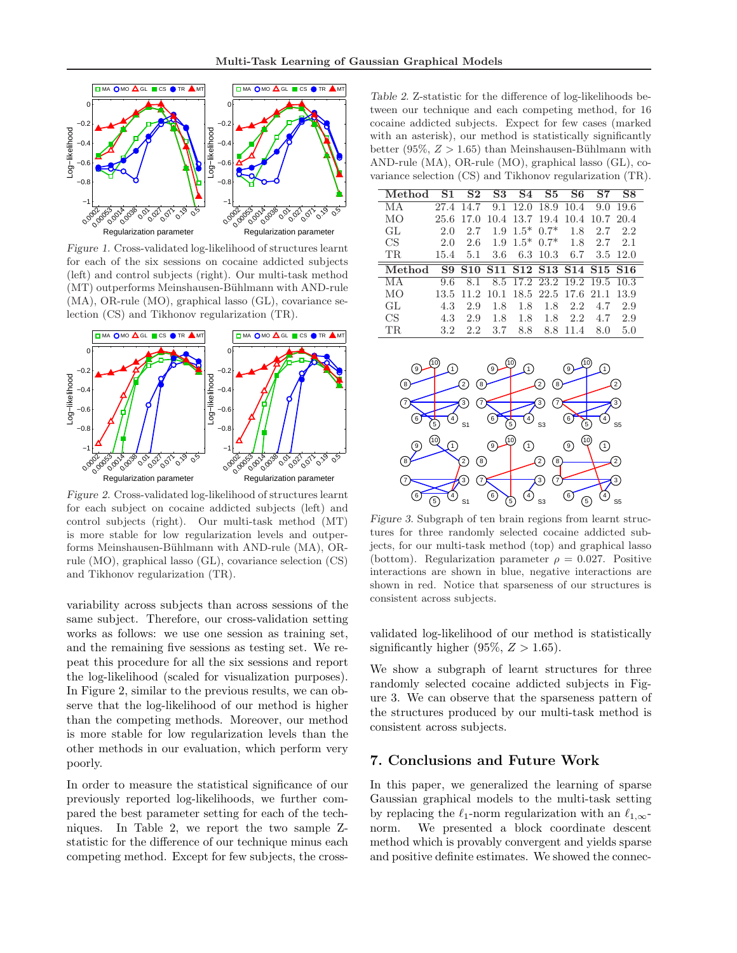

Figure 1. Cross-validated log-likelihood of structures learnt for each of the six sessions on cocaine addicted subjects (left) and control subjects (right). Our multi-task method (MT) outperforms Meinshausen-Bühlmann with AND-rule (MA), OR-rule (MO), graphical lasso (GL), covariance selection (CS) and Tikhonov regularization (TR).



Figure 2. Cross-validated log-likelihood of structures learnt for each subject on cocaine addicted subjects (left) and control subjects (right). Our multi-task method (MT) is more stable for low regularization levels and outperforms Meinshausen-Bühlmann with AND-rule (MA), ORrule (MO), graphical lasso (GL), covariance selection (CS) and Tikhonov regularization (TR).

variability across subjects than across sessions of the same subject. Therefore, our cross-validation setting works as follows: we use one session as training set, and the remaining five sessions as testing set. We repeat this procedure for all the six sessions and report the log-likelihood (scaled for visualization purposes). In Figure 2, similar to the previous results, we can observe that the log-likelihood of our method is higher than the competing methods. Moreover, our method is more stable for low regularization levels than the other methods in our evaluation, which perform very poorly.

In order to measure the statistical significance of our previously reported log-likelihoods, we further compared the best parameter setting for each of the techniques. In Table 2, we report the two sample Zstatistic for the difference of our technique minus each competing method. Except for few subjects, the cross-

Table 2. Z-statistic for the difference of log-likelihoods between our technique and each competing method, for 16 cocaine addicted subjects. Expect for few cases (marked with an asterisk), our method is statistically significantly better (95\%,  $Z > 1.65$ ) than Meinshausen-Bühlmann with AND-rule (MA), OR-rule (MO), graphical lasso (GL), covariance selection (CS) and Tikhonov regularization (TR).

| Method | S1   | S <sub>2</sub> | S3 - | S4                       | S <sub>5</sub> | S6                  | S7                                                                                                              | S8       |
|--------|------|----------------|------|--------------------------|----------------|---------------------|-----------------------------------------------------------------------------------------------------------------|----------|
| МA     | 27.4 | 14.7           | 9.1  | 12.0                     | 18.9           | 10.4                | 9.0                                                                                                             | 19.6     |
| MО     | 25.6 | 17.0           | 10.4 | 13.7                     | 19.4           | 10.4                | 10.7 20.4                                                                                                       |          |
| GL.    | 2.0  | 2.7            | 1.9  | $1.5*$                   | $0.7*$         | 1.8                 | 2.7                                                                                                             | 2.2      |
| CS     | 2.0  | 2.6            | 1.9  | $1.5^*$ 0.7 <sup>*</sup> |                | 1.8                 | 2.7                                                                                                             | 2.1      |
| TR.    | 15.4 | 5.1            | 3.6  |                          | 6.3 10.3       | 6.7                 |                                                                                                                 | 3.5 12.0 |
|        |      |                |      |                          |                |                     |                                                                                                                 |          |
| Method | S9.  |                |      |                          |                |                     | S <sub>10</sub> S <sub>11</sub> S <sub>12</sub> S <sub>13</sub> S <sub>14</sub> S <sub>15</sub> S <sub>16</sub> |          |
| MА     | 9.6  | 8.1            |      |                          |                |                     | 8.5 17.2 23.2 19.2 19.5 10.3                                                                                    |          |
| MО     | 13.5 | -11.2          | 10.1 |                          |                | 18.5 22.5 17.6 21.1 |                                                                                                                 | 13.9     |
| GL.    | 4.3  | 2.9            | 1.8  | 1.8                      | 1.8            | 2.2.                | 4.7                                                                                                             | 2.9      |
| CS     | 4.3  | 2.9            | 1.8  | 1.8                      | 1.8            | 2.2.                | 4.7                                                                                                             | 2.9      |



Figure 3. Subgraph of ten brain regions from learnt structures for three randomly selected cocaine addicted subjects, for our multi-task method (top) and graphical lasso (bottom). Regularization parameter  $\rho = 0.027$ . Positive interactions are shown in blue, negative interactions are shown in red. Notice that sparseness of our structures is consistent across subjects.

validated log-likelihood of our method is statistically significantly higher (95%,  $Z > 1.65$ ).

We show a subgraph of learnt structures for three randomly selected cocaine addicted subjects in Figure 3. We can observe that the sparseness pattern of the structures produced by our multi-task method is consistent across subjects.

# 7. Conclusions and Future Work

In this paper, we generalized the learning of sparse Gaussian graphical models to the multi-task setting by replacing the  $\ell_1$ -norm regularization with an  $\ell_{1,\infty}$ norm. We presented a block coordinate descent method which is provably convergent and yields sparse and positive definite estimates. We showed the connec